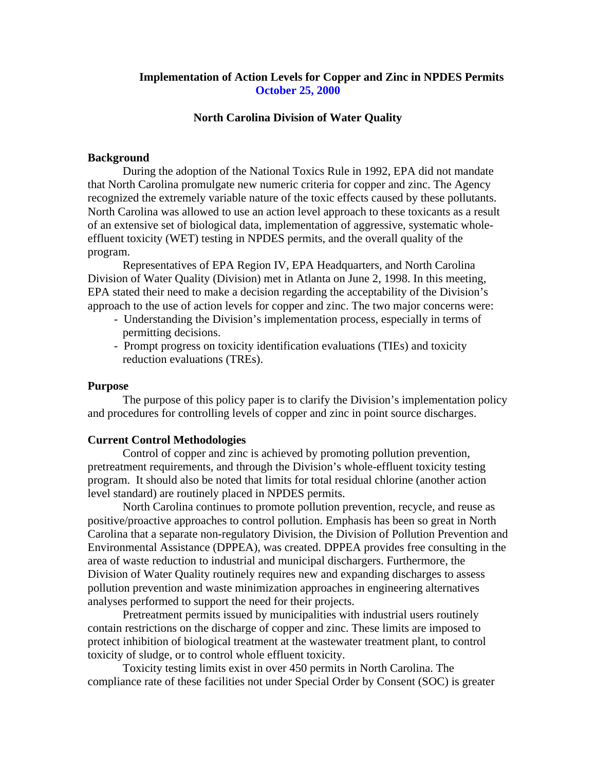## **Implementation of Action Levels for Copper and Zinc in NPDES Permits October 25, 2000**

#### **North Carolina Division of Water Quality**

#### **Background**

During the adoption of the National Toxics Rule in 1992, EPA did not mandate that North Carolina promulgate new numeric criteria for copper and zinc. The Agency recognized the extremely variable nature of the toxic effects caused by these pollutants. North Carolina was allowed to use an action level approach to these toxicants as a result of an extensive set of biological data, implementation of aggressive, systematic wholeeffluent toxicity (WET) testing in NPDES permits, and the overall quality of the program.

Representatives of EPA Region IV, EPA Headquarters, and North Carolina Division of Water Quality (Division) met in Atlanta on June 2, 1998. In this meeting, EPA stated their need to make a decision regarding the acceptability of the Division's approach to the use of action levels for copper and zinc. The two major concerns were:

- Understanding the Division's implementation process, especially in terms of permitting decisions.
- Prompt progress on toxicity identification evaluations (TIEs) and toxicity reduction evaluations (TREs).

#### **Purpose**

The purpose of this policy paper is to clarify the Division's implementation policy and procedures for controlling levels of copper and zinc in point source discharges.

#### **Current Control Methodologies**

Control of copper and zinc is achieved by promoting pollution prevention, pretreatment requirements, and through the Division's whole-effluent toxicity testing program. It should also be noted that limits for total residual chlorine (another action level standard) are routinely placed in NPDES permits.

North Carolina continues to promote pollution prevention, recycle, and reuse as positive/proactive approaches to control pollution. Emphasis has been so great in North Carolina that a separate non-regulatory Division, the Division of Pollution Prevention and Environmental Assistance (DPPEA), was created. DPPEA provides free consulting in the area of waste reduction to industrial and municipal dischargers. Furthermore, the Division of Water Quality routinely requires new and expanding discharges to assess pollution prevention and waste minimization approaches in engineering alternatives analyses performed to support the need for their projects.

Pretreatment permits issued by municipalities with industrial users routinely contain restrictions on the discharge of copper and zinc. These limits are imposed to protect inhibition of biological treatment at the wastewater treatment plant, to control toxicity of sludge, or to control whole effluent toxicity.

Toxicity testing limits exist in over 450 permits in North Carolina. The compliance rate of these facilities not under Special Order by Consent (SOC) is greater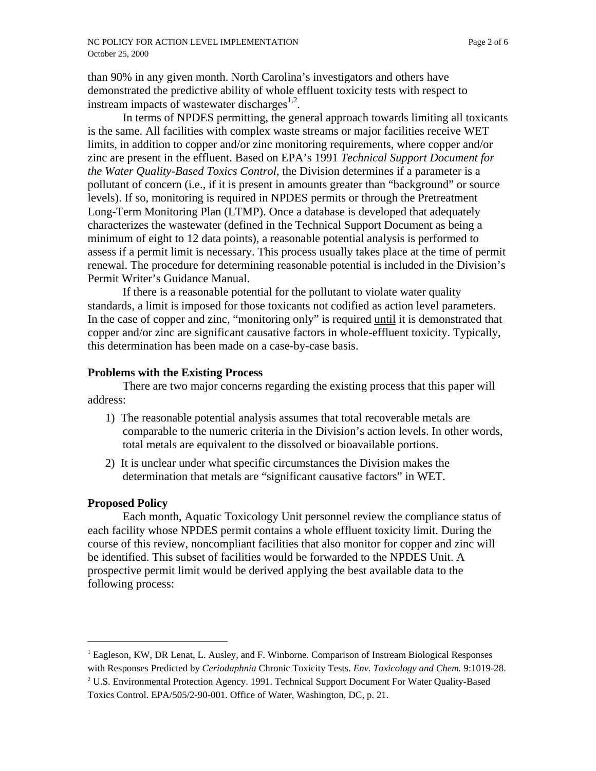than 90% in any given month. North Carolina's investigators and others have demonstrated the predictive ability of whole effluent toxicity tests with respect to instream impacts of wastewater discharges $^{1,2}$ .

In terms of NPDES permitting, the general approach towards limiting all toxicants is the same. All facilities with complex waste streams or major facilities receive WET limits, in addition to copper and/or zinc monitoring requirements, where copper and/or zinc are present in the effluent. Based on EPA's 1991 *Technical Support Document for the Water Quality-Based Toxics Control*, the Division determines if a parameter is a pollutant of concern (i.e., if it is present in amounts greater than "background" or source levels). If so, monitoring is required in NPDES permits or through the Pretreatment Long-Term Monitoring Plan (LTMP). Once a database is developed that adequately characterizes the wastewater (defined in the Technical Support Document as being a minimum of eight to 12 data points), a reasonable potential analysis is performed to assess if a permit limit is necessary. This process usually takes place at the time of permit renewal. The procedure for determining reasonable potential is included in the Division's Permit Writer's Guidance Manual.

If there is a reasonable potential for the pollutant to violate water quality standards, a limit is imposed for those toxicants not codified as action level parameters. In the case of copper and zinc, "monitoring only" is required until it is demonstrated that copper and/or zinc are significant causative factors in whole-effluent toxicity. Typically, this determination has been made on a case-by-case basis.

### **Problems with the Existing Process**

There are two major concerns regarding the existing process that this paper will address:

- 1) The reasonable potential analysis assumes that total recoverable metals are comparable to the numeric criteria in the Division's action levels. In other words, total metals are equivalent to the dissolved or bioavailable portions.
- 2) It is unclear under what specific circumstances the Division makes the determination that metals are "significant causative factors" in WET.

### **Proposed Policy**

 $\overline{a}$ 

Each month, Aquatic Toxicology Unit personnel review the compliance status of each facility whose NPDES permit contains a whole effluent toxicity limit. During the course of this review, noncompliant facilities that also monitor for copper and zinc will be identified. This subset of facilities would be forwarded to the NPDES Unit. A prospective permit limit would be derived applying the best available data to the following process:

<sup>&</sup>lt;sup>1</sup> Eagleson, KW, DR Lenat, L. Ausley, and F. Winborne. Comparison of Instream Biological Responses with Responses Predicted by *Ceriodaphnia* Chronic Toxicity Tests. *Env. Toxicology and Chem.* 9:1019-28.

<sup>&</sup>lt;sup>2</sup> U.S. Environmental Protection Agency. 1991. Technical Support Document For Water Quality-Based Toxics Control. EPA/505/2-90-001. Office of Water, Washington, DC, p. 21.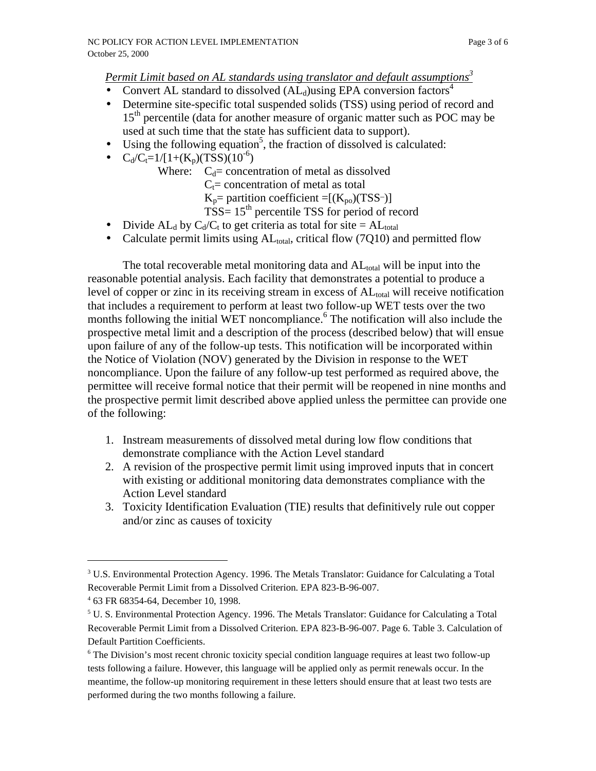*Permit Limit based on AL standards using translator and default assumptions<sup>3</sup>*

- Convert AL standard to dissolved  $(AL_d)$ using EPA conversion factors<sup>4</sup>
- Determine site-specific total suspended solids (TSS) using period of record and  $15<sup>th</sup>$  percentile (data for another measure of organic matter such as POC may be used at such time that the state has sufficient data to support).
- Using the following equation<sup>5</sup>, the fraction of dissolved is calculated:
- $C_d/C_t=1/[1+(K_p)(TSS)(10^{-6})$ 
	- Where:  $C_d$ = concentration of metal as dissolved
		- $C_t$ = concentration of metal as total
		- $K_p$ = partition coefficient =[( $K_{po}$ )(TSS-)]
		- $TSS = 15<sup>th</sup>$  percentile TSS for period of record
- Divide AL<sub>d</sub> by  $C_d/C_t$  to get criteria as total for site = AL<sub>total</sub>
- Calculate permit limits using  $AL_{total}$ , critical flow (7Q10) and permitted flow

The total recoverable metal monitoring data and  $AL_{total}$  will be input into the reasonable potential analysis. Each facility that demonstrates a potential to produce a level of copper or zinc in its receiving stream in excess of  $AL_{total}$  will receive notification that includes a requirement to perform at least two follow-up WET tests over the two months following the initial WET noncompliance.<sup>6</sup> The notification will also include the prospective metal limit and a description of the process (described below) that will ensue upon failure of any of the follow-up tests. This notification will be incorporated within the Notice of Violation (NOV) generated by the Division in response to the WET noncompliance. Upon the failure of any follow-up test performed as required above, the permittee will receive formal notice that their permit will be reopened in nine months and the prospective permit limit described above applied unless the permittee can provide one of the following:

- 1. Instream measurements of dissolved metal during low flow conditions that demonstrate compliance with the Action Level standard
- 2. A revision of the prospective permit limit using improved inputs that in concert with existing or additional monitoring data demonstrates compliance with the Action Level standard
- 3. Toxicity Identification Evaluation (TIE) results that definitively rule out copper and/or zinc as causes of toxicity

 $\overline{a}$ 

<sup>&</sup>lt;sup>3</sup> U.S. Environmental Protection Agency. 1996. The Metals Translator: Guidance for Calculating a Total Recoverable Permit Limit from a Dissolved Criterion. EPA 823-B-96-007.

<sup>4</sup> 63 FR 68354-64, December 10, 1998.

<sup>&</sup>lt;sup>5</sup> U. S. Environmental Protection Agency. 1996. The Metals Translator: Guidance for Calculating a Total Recoverable Permit Limit from a Dissolved Criterion. EPA 823-B-96-007. Page 6. Table 3. Calculation of Default Partition Coefficients.

<sup>&</sup>lt;sup>6</sup> The Division's most recent chronic toxicity special condition language requires at least two follow-up tests following a failure. However, this language will be applied only as permit renewals occur. In the meantime, the follow-up monitoring requirement in these letters should ensure that at least two tests are performed during the two months following a failure.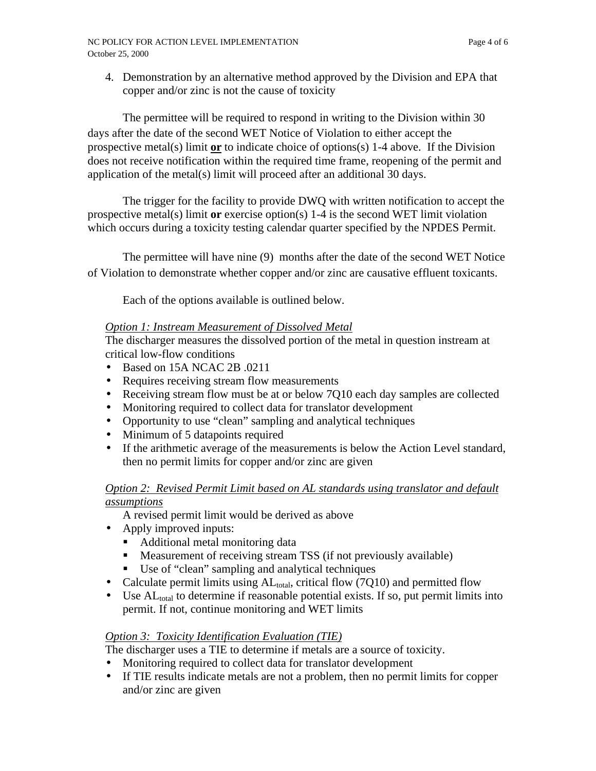4. Demonstration by an alternative method approved by the Division and EPA that copper and/or zinc is not the cause of toxicity

The permittee will be required to respond in writing to the Division within 30 days after the date of the second WET Notice of Violation to either accept the prospective metal(s) limit **or** to indicate choice of options(s) 1-4 above. If the Division does not receive notification within the required time frame, reopening of the permit and application of the metal(s) limit will proceed after an additional 30 days.

The trigger for the facility to provide DWQ with written notification to accept the prospective metal(s) limit **or** exercise option(s) 1-4 is the second WET limit violation which occurs during a toxicity testing calendar quarter specified by the NPDES Permit.

The permittee will have nine (9) months after the date of the second WET Notice of Violation to demonstrate whether copper and/or zinc are causative effluent toxicants.

Each of the options available is outlined below.

# *Option 1: Instream Measurement of Dissolved Metal*

The discharger measures the dissolved portion of the metal in question instream at critical low-flow conditions

- Based on 15A NCAC 2B .0211
- Requires receiving stream flow measurements
- Receiving stream flow must be at or below 7Q10 each day samples are collected
- Monitoring required to collect data for translator development
- Opportunity to use "clean" sampling and analytical techniques
- Minimum of 5 datapoints required
- If the arithmetic average of the measurements is below the Action Level standard, then no permit limits for copper and/or zinc are given

# *Option 2: Revised Permit Limit based on AL standards using translator and default assumptions*

- A revised permit limit would be derived as above
- Apply improved inputs:
	- Additional metal monitoring data
	- **•** Measurement of receiving stream TSS (if not previously available)
	- Use of "clean" sampling and analytical techniques
- Calculate permit limits using  $AL_{total}$ , critical flow (7Q10) and permitted flow
- $\cdot$  Use AL<sub>total</sub> to determine if reasonable potential exists. If so, put permit limits into permit. If not, continue monitoring and WET limits

# *Option 3: Toxicity Identification Evaluation (TIE)*

The discharger uses a TIE to determine if metals are a source of toxicity.

- Monitoring required to collect data for translator development
- If TIE results indicate metals are not a problem, then no permit limits for copper and/or zinc are given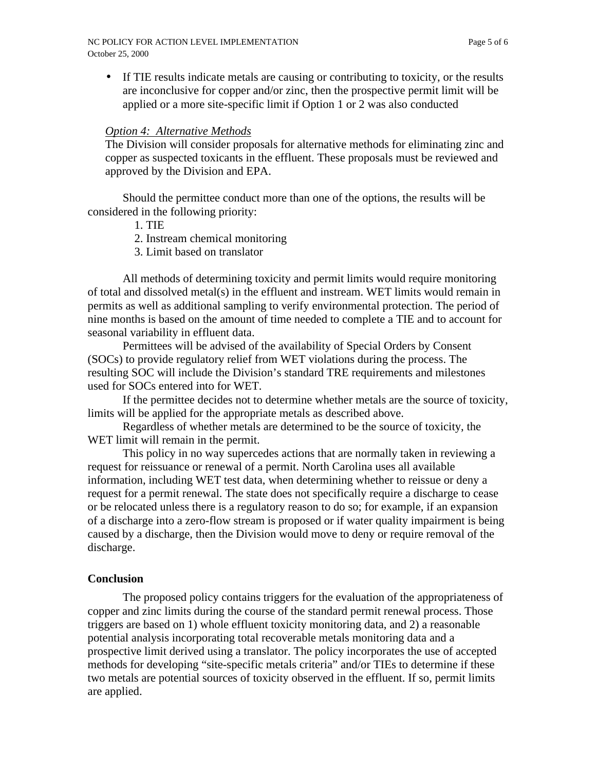• If TIE results indicate metals are causing or contributing to toxicity, or the results are inconclusive for copper and/or zinc, then the prospective permit limit will be applied or a more site-specific limit if Option 1 or 2 was also conducted

## *Option 4: Alternative Methods*

The Division will consider proposals for alternative methods for eliminating zinc and copper as suspected toxicants in the effluent. These proposals must be reviewed and approved by the Division and EPA.

Should the permittee conduct more than one of the options, the results will be considered in the following priority:

- 1. TIE
- 2. Instream chemical monitoring
- 3. Limit based on translator

All methods of determining toxicity and permit limits would require monitoring of total and dissolved metal(s) in the effluent and instream. WET limits would remain in permits as well as additional sampling to verify environmental protection. The period of nine months is based on the amount of time needed to complete a TIE and to account for seasonal variability in effluent data.

Permittees will be advised of the availability of Special Orders by Consent (SOCs) to provide regulatory relief from WET violations during the process. The resulting SOC will include the Division's standard TRE requirements and milestones used for SOCs entered into for WET.

If the permittee decides not to determine whether metals are the source of toxicity, limits will be applied for the appropriate metals as described above.

Regardless of whether metals are determined to be the source of toxicity, the WET limit will remain in the permit.

This policy in no way supercedes actions that are normally taken in reviewing a request for reissuance or renewal of a permit. North Carolina uses all available information, including WET test data, when determining whether to reissue or deny a request for a permit renewal. The state does not specifically require a discharge to cease or be relocated unless there is a regulatory reason to do so; for example, if an expansion of a discharge into a zero-flow stream is proposed or if water quality impairment is being caused by a discharge, then the Division would move to deny or require removal of the discharge.

## **Conclusion**

The proposed policy contains triggers for the evaluation of the appropriateness of copper and zinc limits during the course of the standard permit renewal process. Those triggers are based on 1) whole effluent toxicity monitoring data, and 2) a reasonable potential analysis incorporating total recoverable metals monitoring data and a prospective limit derived using a translator. The policy incorporates the use of accepted methods for developing "site-specific metals criteria" and/or TIEs to determine if these two metals are potential sources of toxicity observed in the effluent. If so, permit limits are applied.